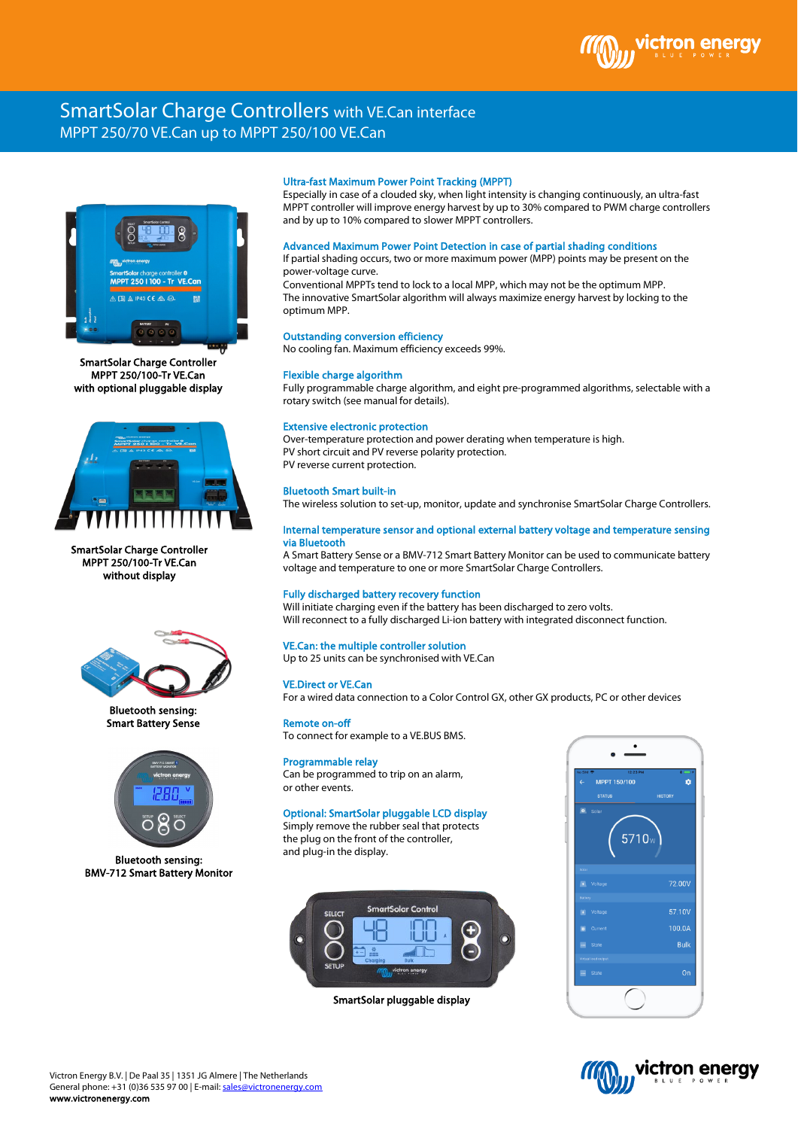# SmartSolar Charge Controllers with VE.Can interface MPPT 250/70 VE.Can up to MPPT 250/100 VE.Can



SmartSolar Charge Controller MPPT 250/100-Tr VE.Can with optional pluggable display



SmartSolar Charge Controller MPPT 250/100-Tr VE.Can without display



Bluetooth sensing: Smart Battery Sense



Bluetooth sensing: BMV-712 Smart Battery Monitor

## Ultra-fast Maximum Power Point Tracking (MPPT)

Especially in case of a clouded sky, when light intensity is changing continuously, an ultra-fast MPPT controller will improve energy harvest by up to 30% compared to PWM charge controllers and by up to 10% compared to slower MPPT controllers.

#### Advanced Maximum Power Point Detection in case of partial shading conditions

If partial shading occurs, two or more maximum power (MPP) points may be present on the power-voltage curve.

Conventional MPPTs tend to lock to a local MPP, which may not be the optimum MPP. The innovative SmartSolar algorithm will always maximize energy harvest by locking to the optimum MPP.

# Outstanding conversion efficiency

No cooling fan. Maximum efficiency exceeds 99%.

#### Flexible charge algorithm

Fully programmable charge algorithm, and eight pre-programmed algorithms, selectable with a rotary switch (see manual for details).

#### Extensive electronic protection

Over-temperature protection and power derating when temperature is high. PV short circuit and PV reverse polarity protection. PV reverse current protection.

# Bluetooth Smart built-in

The wireless solution to set-up, monitor, update and synchronise SmartSolar Charge Controllers.

#### Internal temperature sensor and optional external battery voltage and temperature sensing via Bluetooth

A Smart Battery Sense or a BMV-712 Smart Battery Monitor can be used to communicate battery voltage and temperature to one or more SmartSolar Charge Controllers.

## Fully discharged battery recovery function

Will initiate charging even if the battery has been discharged to zero volts. Will reconnect to a fully discharged Li-ion battery with integrated disconnect function.

# VE.Can: the multiple controller solution

Up to 25 units can be synchronised with VE.Can

#### VE.Direct or VE.Can

For a wired data connection to a Color Control GX, other GX products, PC or other devices

#### Remote on-off

To connect for example to a VE.BUS BMS.

## Programmable relay

Can be programmed to trip on an alarm, or other events.

# Optional: SmartSolar pluggable LCD display

Simply remove the rubber seal that protects the plug on the front of the controller, and plug-in the display.



SmartSolar pluggable display